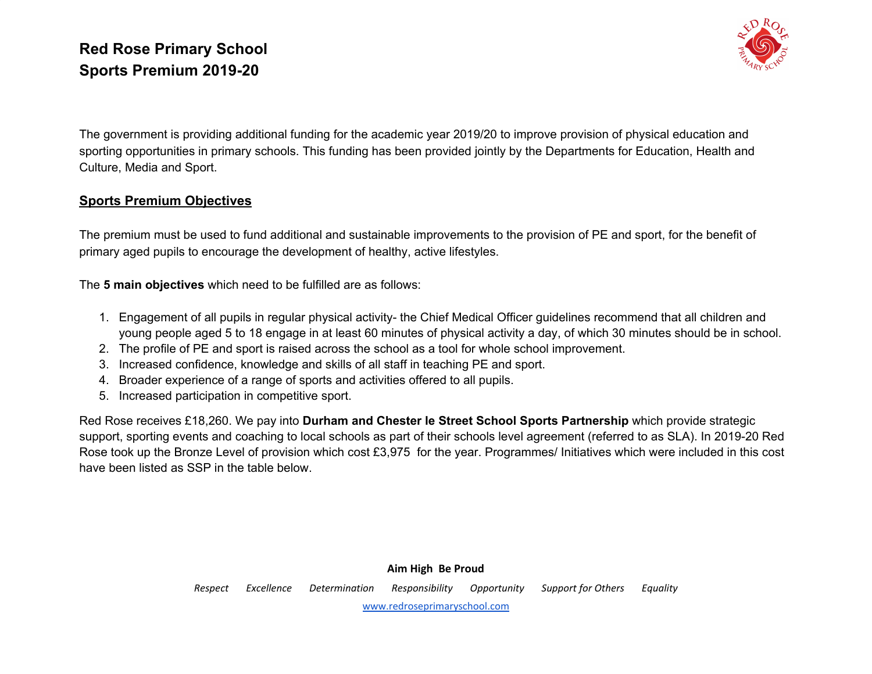

The government is providing additional funding for the academic year 2019/20 to improve provision of physical education and sporting opportunities in primary schools. This funding has been provided jointly by the Departments for Education, Health and Culture, Media and Sport.

#### **Sports Premium Objectives**

The premium must be used to fund additional and sustainable improvements to the provision of PE and sport, for the benefit of primary aged pupils to encourage the development of healthy, active lifestyles.

The **5 main objectives** which need to be fulfilled are as follows:

- 1. Engagement of all pupils in regular physical activity- the Chief Medical Officer guidelines recommend that all children and young people aged 5 to 18 engage in at least 60 minutes of physical activity a day, of which 30 minutes should be in school.
- 2. The profile of PE and sport is raised across the school as a tool for whole school improvement.
- 3. Increased confidence, knowledge and skills of all staff in teaching PE and sport.
- 4. Broader experience of a range of sports and activities offered to all pupils.
- 5. Increased participation in competitive sport.

Red Rose receives £18,260. We pay into **Durham and Chester le Street School Sports Partnership** which provide strategic support, sporting events and coaching to local schools as part of their schools level agreement (referred to as SLA). In 2019-20 Red Rose took up the Bronze Level of provision which cost £3,975 for the year. Programmes/ Initiatives which were included in this cost have been listed as SSP in the table below.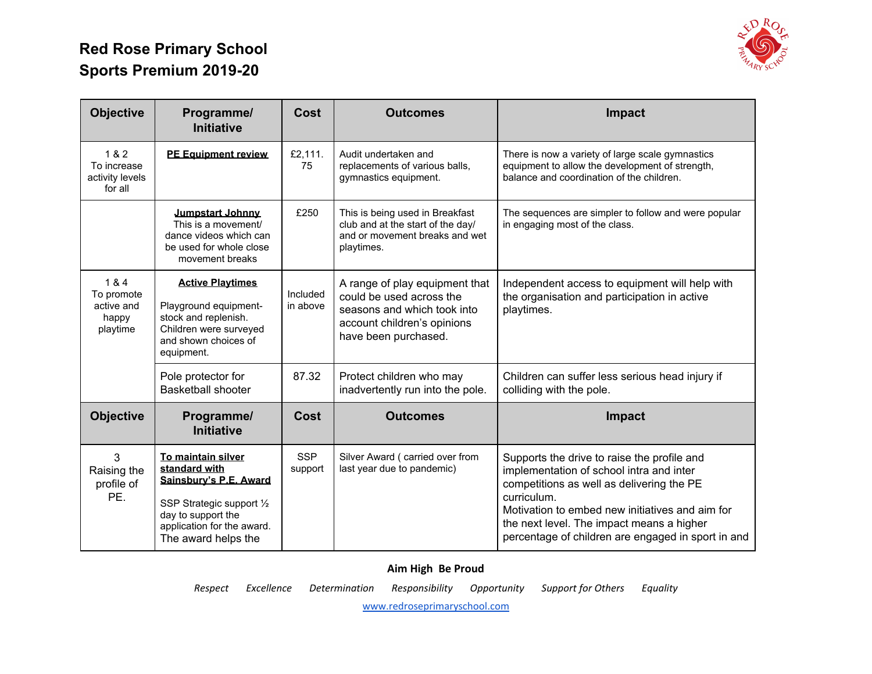

| <b>Objective</b>                                       | Programme/<br><b>Initiative</b>                                                                                                          | Cost                  | <b>Outcomes</b>                                                                                                                                  | Impact                                                                                                                                                            |
|--------------------------------------------------------|------------------------------------------------------------------------------------------------------------------------------------------|-----------------------|--------------------------------------------------------------------------------------------------------------------------------------------------|-------------------------------------------------------------------------------------------------------------------------------------------------------------------|
| 1&2<br>To increase<br>activity levels<br>for all       | <b>PE Equipment review</b>                                                                                                               | £2,111.<br>75         | Audit undertaken and<br>replacements of various balls,<br>gymnastics equipment.                                                                  | There is now a variety of large scale gymnastics<br>equipment to allow the development of strength,<br>balance and coordination of the children.                  |
|                                                        | Jumpstart Johnny<br>This is a movement/<br>dance videos which can<br>be used for whole close<br>movement breaks                          | £250                  | This is being used in Breakfast<br>club and at the start of the day/<br>and or movement breaks and wet<br>playtimes.                             | The sequences are simpler to follow and were popular<br>in engaging most of the class.                                                                            |
| 1 & 4<br>To promote<br>active and<br>happy<br>playtime | <b>Active Playtimes</b><br>Playground equipment-<br>stock and replenish.<br>Children were surveyed<br>and shown choices of<br>equipment. | Included<br>in above  | A range of play equipment that<br>could be used across the<br>seasons and which took into<br>account children's opinions<br>have been purchased. | Independent access to equipment will help with<br>the organisation and participation in active<br>playtimes.                                                      |
|                                                        | Pole protector for<br><b>Basketball shooter</b>                                                                                          | 87.32                 | Protect children who may<br>inadvertently run into the pole.                                                                                     | Children can suffer less serious head injury if<br>colliding with the pole.                                                                                       |
| <b>Objective</b>                                       | Programme/<br><b>Initiative</b>                                                                                                          | Cost                  | <b>Outcomes</b>                                                                                                                                  | <b>Impact</b>                                                                                                                                                     |
| 3<br>Raising the<br>profile of                         | To maintain silver<br>standard with<br>Sainsbury's P.E. Award                                                                            | <b>SSP</b><br>support | Silver Award (carried over from<br>last year due to pandemic)                                                                                    | Supports the drive to raise the profile and<br>implementation of school intra and inter<br>competitions as well as delivering the PE                              |
| PE.                                                    | SSP Strategic support 1/2<br>day to support the<br>application for the award.<br>The award helps the                                     |                       |                                                                                                                                                  | curriculum.<br>Motivation to embed new initiatives and aim for<br>the next level. The impact means a higher<br>percentage of children are engaged in sport in and |

#### **Aim High Be Proud**

*Respect Excellence Determination Responsibility Opportunity Support for Others Equality*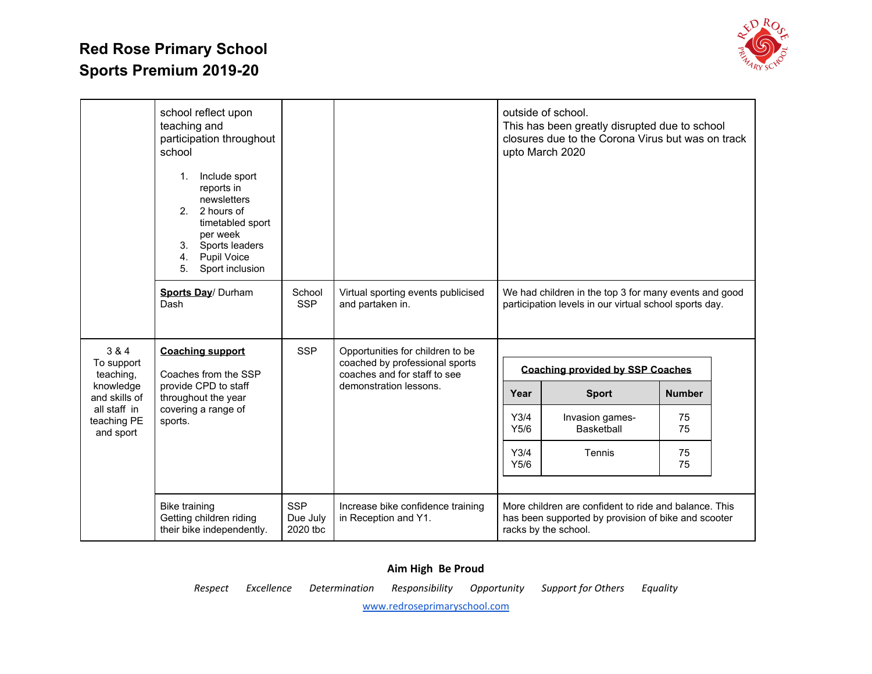

|                                          | school reflect upon<br>teaching and<br>participation throughout<br>school<br>1.<br>Include sport<br>reports in<br>newsletters<br>2. 2 hours of<br>timetabled sport<br>per week<br>3.<br>Sports leaders<br>4.<br><b>Pupil Voice</b><br>Sport inclusion<br>5. |                                                                |                                                           |                                         | outside of school.<br>This has been greatly disrupted due to school<br>closures due to the Corona Virus but was on track<br>upto March 2020 |               |  |
|------------------------------------------|-------------------------------------------------------------------------------------------------------------------------------------------------------------------------------------------------------------------------------------------------------------|----------------------------------------------------------------|-----------------------------------------------------------|-----------------------------------------|---------------------------------------------------------------------------------------------------------------------------------------------|---------------|--|
|                                          | Sports Day/ Durham<br>Dash                                                                                                                                                                                                                                  | School<br><b>SSP</b>                                           | Virtual sporting events publicised<br>and partaken in.    |                                         | We had children in the top 3 for many events and good<br>participation levels in our virtual school sports day.                             |               |  |
| 3 & 4                                    | <b>Coaching support</b>                                                                                                                                                                                                                                     | <b>SSP</b>                                                     | Opportunities for children to be                          |                                         |                                                                                                                                             |               |  |
| To support<br>teaching,                  | Coaches from the SSP                                                                                                                                                                                                                                        | coached by professional sports<br>coaches and for staff to see |                                                           | <b>Coaching provided by SSP Coaches</b> |                                                                                                                                             |               |  |
| knowledge<br>and skills of               | provide CPD to staff<br>throughout the year                                                                                                                                                                                                                 |                                                                | demonstration lessons.                                    | Year                                    | <b>Sport</b>                                                                                                                                | <b>Number</b> |  |
| all staff in<br>teaching PE<br>and sport | covering a range of<br>sports.                                                                                                                                                                                                                              |                                                                |                                                           | Y3/4<br>Y5/6                            | Invasion games-<br>Basketball                                                                                                               | 75<br>75      |  |
|                                          |                                                                                                                                                                                                                                                             |                                                                |                                                           | Y3/4<br>Y5/6                            | Tennis                                                                                                                                      | 75<br>75      |  |
|                                          | <b>Bike training</b><br>Getting children riding<br>their bike independently.                                                                                                                                                                                | <b>SSP</b><br>Due July<br>2020 tbc                             | Increase bike confidence training<br>in Reception and Y1. |                                         | More children are confident to ride and balance. This<br>has been supported by provision of bike and scooter<br>racks by the school.        |               |  |

#### **Aim High Be Proud**

*Respect Excellence Determination Responsibility Opportunity Support for Others Equality*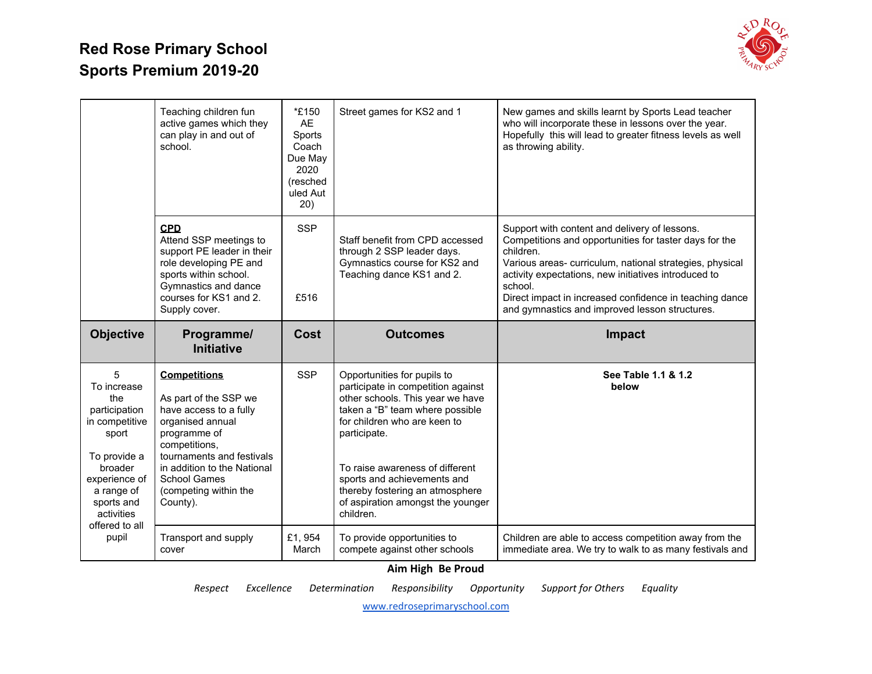

|                                                                                                                                                                             | Teaching children fun<br>active games which they<br>can play in and out of<br>school.                                                                                                                                                               | *£150<br><b>AE</b><br>Sports<br>Coach<br>Due May<br>2020<br>(resched<br>uled Aut<br>20) | Street games for KS2 and 1                                                                                                                                                                                                                                                                                                                      | New games and skills learnt by Sports Lead teacher<br>who will incorporate these in lessons over the year.<br>Hopefully this will lead to greater fitness levels as well<br>as throwing ability.                                                                                                                                                                |
|-----------------------------------------------------------------------------------------------------------------------------------------------------------------------------|-----------------------------------------------------------------------------------------------------------------------------------------------------------------------------------------------------------------------------------------------------|-----------------------------------------------------------------------------------------|-------------------------------------------------------------------------------------------------------------------------------------------------------------------------------------------------------------------------------------------------------------------------------------------------------------------------------------------------|-----------------------------------------------------------------------------------------------------------------------------------------------------------------------------------------------------------------------------------------------------------------------------------------------------------------------------------------------------------------|
|                                                                                                                                                                             | <b>CPD</b><br>Attend SSP meetings to<br>support PE leader in their<br>role developing PE and<br>sports within school.<br>Gymnastics and dance<br>courses for KS1 and 2.<br>Supply cover.                                                            | <b>SSP</b><br>£516                                                                      | Staff benefit from CPD accessed<br>through 2 SSP leader days.<br>Gymnastics course for KS2 and<br>Teaching dance KS1 and 2.                                                                                                                                                                                                                     | Support with content and delivery of lessons.<br>Competitions and opportunities for taster days for the<br>children.<br>Various areas-curriculum, national strategies, physical<br>activity expectations, new initiatives introduced to<br>school.<br>Direct impact in increased confidence in teaching dance<br>and gymnastics and improved lesson structures. |
| <b>Objective</b>                                                                                                                                                            | Programme/<br><b>Initiative</b>                                                                                                                                                                                                                     | Cost                                                                                    | <b>Outcomes</b>                                                                                                                                                                                                                                                                                                                                 | <b>Impact</b>                                                                                                                                                                                                                                                                                                                                                   |
| 5<br>To increase<br>the<br>participation<br>in competitive<br>sport<br>To provide a<br>broader<br>experience of<br>a range of<br>sports and<br>activities<br>offered to all | <b>Competitions</b><br>As part of the SSP we<br>have access to a fully<br>organised annual<br>programme of<br>competitions,<br>tournaments and festivals<br>in addition to the National<br><b>School Games</b><br>(competing within the<br>County). | <b>SSP</b>                                                                              | Opportunities for pupils to<br>participate in competition against<br>other schools. This year we have<br>taken a "B" team where possible<br>for children who are keen to<br>participate.<br>To raise awareness of different<br>sports and achievements and<br>thereby fostering an atmosphere<br>of aspiration amongst the younger<br>children. | See Table 1.1 & 1.2<br>below                                                                                                                                                                                                                                                                                                                                    |
|                                                                                                                                                                             |                                                                                                                                                                                                                                                     |                                                                                         |                                                                                                                                                                                                                                                                                                                                                 |                                                                                                                                                                                                                                                                                                                                                                 |

#### **Aim High Be Proud**

*Respect Excellence Determination Responsibility Opportunity Support for Others Equality*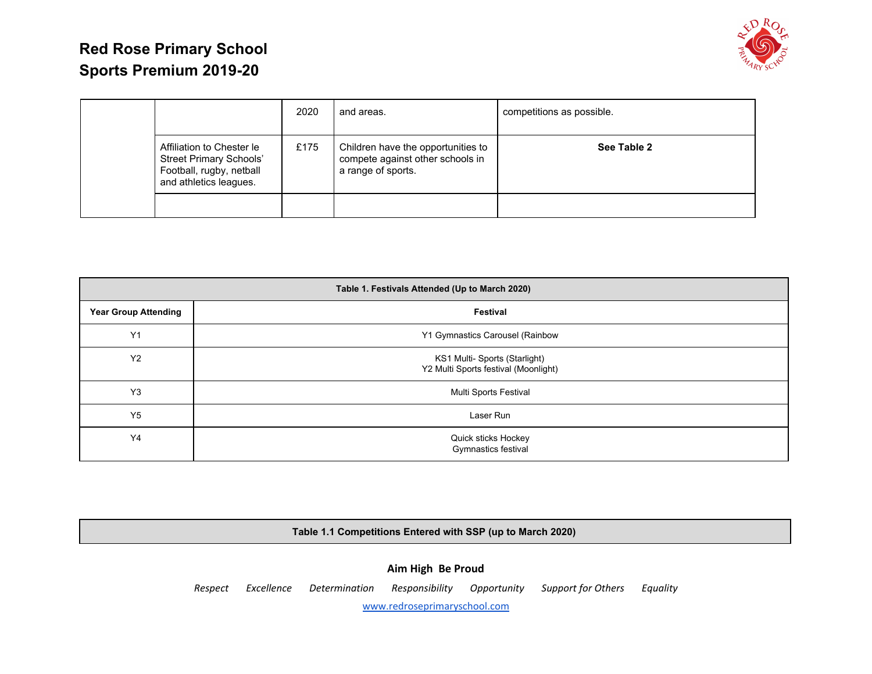

|                                                                                                                   | 2020 | and areas.                                                                                   | competitions as possible. |
|-------------------------------------------------------------------------------------------------------------------|------|----------------------------------------------------------------------------------------------|---------------------------|
| Affiliation to Chester le<br><b>Street Primary Schools'</b><br>Football, rugby, netball<br>and athletics leagues. | £175 | Children have the opportunities to<br>compete against other schools in<br>a range of sports. | See Table 2               |
|                                                                                                                   |      |                                                                                              |                           |

| Table 1. Festivals Attended (Up to March 2020) |                                                                       |  |  |  |  |  |
|------------------------------------------------|-----------------------------------------------------------------------|--|--|--|--|--|
| <b>Year Group Attending</b>                    | Festival                                                              |  |  |  |  |  |
| Y1                                             | Y1 Gymnastics Carousel (Rainbow                                       |  |  |  |  |  |
| <b>Y2</b>                                      | KS1 Multi- Sports (Starlight)<br>Y2 Multi Sports festival (Moonlight) |  |  |  |  |  |
| Y <sub>3</sub>                                 | Multi Sports Festival                                                 |  |  |  |  |  |
| Y5                                             | Laser Run                                                             |  |  |  |  |  |
| Y4                                             | Quick sticks Hockey<br>Gymnastics festival                            |  |  |  |  |  |

**Table 1.1 Competitions Entered with SSP (up to March 2020)**

**Aim High Be Proud** *Respect Excellence Determination Responsibility Opportunity Support for Others Equality*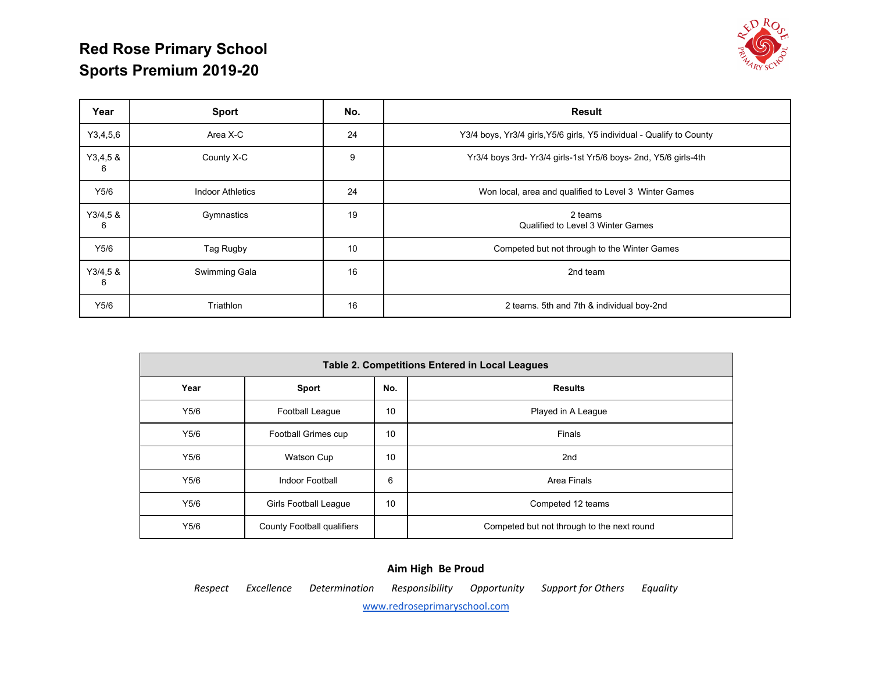

| Year         | <b>Sport</b>            | No. | <b>Result</b>                                                         |  |  |  |
|--------------|-------------------------|-----|-----------------------------------------------------------------------|--|--|--|
| Y3,4,5,6     | Area X-C                | 24  | Y3/4 boys, Yr3/4 girls, Y5/6 girls, Y5 individual - Qualify to County |  |  |  |
| Y3,4,58<br>6 | County X-C              | 9   | Yr3/4 boys 3rd-Yr3/4 girls-1st Yr5/6 boys- 2nd, Y5/6 girls-4th        |  |  |  |
| Y5/6         | <b>Indoor Athletics</b> | 24  | Won local, area and qualified to Level 3 Winter Games                 |  |  |  |
| Y3/4,58<br>6 | Gymnastics              | 19  | 2 teams<br>Qualified to Level 3 Winter Games                          |  |  |  |
| Y5/6         | Tag Rugby               | 10  | Competed but not through to the Winter Games                          |  |  |  |
| Y3/4,58<br>6 | Swimming Gala           | 16  | 2nd team                                                              |  |  |  |
| Y5/6         | Triathlon               | 16  | 2 teams. 5th and 7th & individual boy-2nd                             |  |  |  |

|      | <b>Table 2. Competitions Entered in Local Leagues</b> |     |                                            |  |  |  |  |  |
|------|-------------------------------------------------------|-----|--------------------------------------------|--|--|--|--|--|
| Year | <b>Sport</b>                                          | No. | <b>Results</b>                             |  |  |  |  |  |
| Y5/6 | Football League                                       | 10  | Played in A League                         |  |  |  |  |  |
| Y5/6 | Football Grimes cup                                   | 10  | Finals                                     |  |  |  |  |  |
| Y5/6 | Watson Cup                                            | 10  | 2nd                                        |  |  |  |  |  |
| Y5/6 | Indoor Football                                       | 6   | Area Finals                                |  |  |  |  |  |
| Y5/6 | <b>Girls Football League</b>                          | 10  | Competed 12 teams                          |  |  |  |  |  |
| Y5/6 | County Football qualifiers                            |     | Competed but not through to the next round |  |  |  |  |  |

#### **Aim High Be Proud** *Respect Excellence Determination Responsibility Opportunity Support for Others Equality*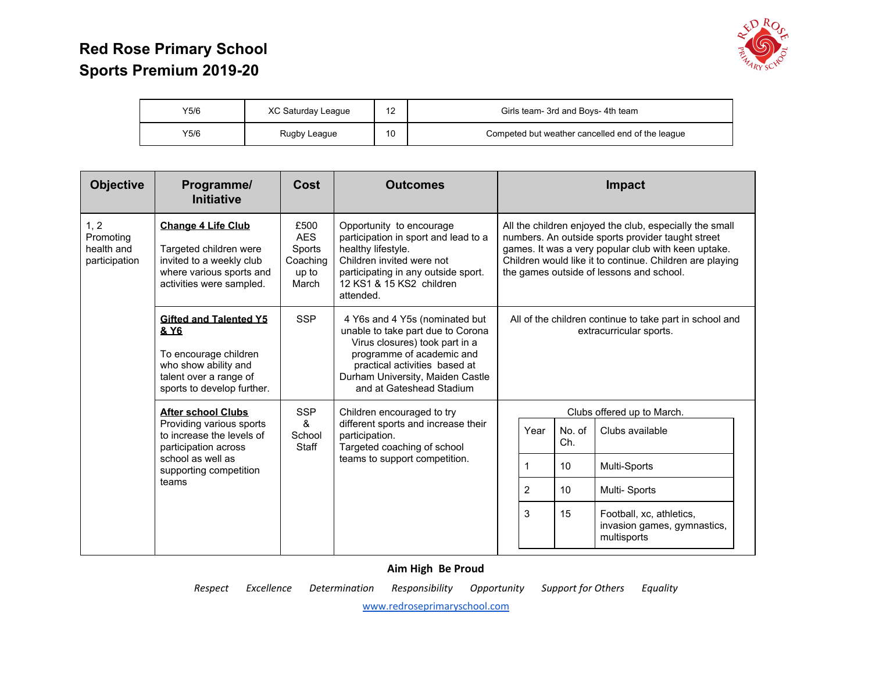

| Y5/6 | XC Saturday League | . . | Girls team- 3rd and Boys- 4th team               |
|------|--------------------|-----|--------------------------------------------------|
| Y5/6 | Rugby League       | 10  | Competed but weather cancelled end of the league |

| <b>Objective</b>                                 | Programme/<br><b>Initiative</b>                                                                                                                | Cost                                                                                                                                                                                      | <b>Outcomes</b>                                                                                                                                                                                                                                                                                                                                                                                                                            |   |                                                                                    |              | <b>Impact</b>                                                                                                                                                                                                                                                               |                 |
|--------------------------------------------------|------------------------------------------------------------------------------------------------------------------------------------------------|-------------------------------------------------------------------------------------------------------------------------------------------------------------------------------------------|--------------------------------------------------------------------------------------------------------------------------------------------------------------------------------------------------------------------------------------------------------------------------------------------------------------------------------------------------------------------------------------------------------------------------------------------|---|------------------------------------------------------------------------------------|--------------|-----------------------------------------------------------------------------------------------------------------------------------------------------------------------------------------------------------------------------------------------------------------------------|-----------------|
| 1, 2<br>Promoting<br>health and<br>participation | <b>Change 4 Life Club</b><br>Targeted children were<br>invited to a weekly club<br>where various sports and<br>activities were sampled.        | £500<br><b>AES</b><br>Sports<br>Coaching<br>up to<br>March                                                                                                                                | Opportunity to encourage<br>participation in sport and lead to a<br>healthy lifestyle.<br>Children invited were not<br>participating in any outside sport.<br>12 KS1 & 15 KS2 children<br>attended.<br>4 Y6s and 4 Y5s (nominated but<br>unable to take part due to Corona<br>Virus closures) took part in a<br>programme of academic and<br>practical activities based at<br>Durham University, Maiden Castle<br>and at Gateshead Stadium |   |                                                                                    |              | All the children enjoyed the club, especially the small<br>numbers. An outside sports provider taught street<br>games. It was a very popular club with keen uptake.<br>Children would like it to continue. Children are playing<br>the games outside of lessons and school. |                 |
|                                                  | <b>Gifted and Talented Y5</b><br>& Y6<br>To encourage children<br>who show ability and<br>talent over a range of<br>sports to develop further. | <b>SSP</b>                                                                                                                                                                                |                                                                                                                                                                                                                                                                                                                                                                                                                                            |   | All of the children continue to take part in school and<br>extracurricular sports. |              |                                                                                                                                                                                                                                                                             |                 |
|                                                  | <b>After school Clubs</b>                                                                                                                      | <b>SSP</b><br>Children encouraged to try<br>&<br>different sports and increase their<br>School<br>participation.<br>Targeted coaching of school<br>Staff<br>teams to support competition. |                                                                                                                                                                                                                                                                                                                                                                                                                                            |   |                                                                                    |              | Clubs offered up to March.                                                                                                                                                                                                                                                  |                 |
|                                                  | Providing various sports<br>to increase the levels of<br>participation across                                                                  |                                                                                                                                                                                           |                                                                                                                                                                                                                                                                                                                                                                                                                                            |   |                                                                                    | Year         | No. of<br>Ch.                                                                                                                                                                                                                                                               | Clubs available |
|                                                  | school as well as<br>supporting competition                                                                                                    |                                                                                                                                                                                           |                                                                                                                                                                                                                                                                                                                                                                                                                                            |   |                                                                                    | 1            | 10                                                                                                                                                                                                                                                                          | Multi-Sports    |
|                                                  | teams                                                                                                                                          |                                                                                                                                                                                           |                                                                                                                                                                                                                                                                                                                                                                                                                                            | 2 | 10                                                                                 | Multi-Sports |                                                                                                                                                                                                                                                                             |                 |
|                                                  |                                                                                                                                                |                                                                                                                                                                                           |                                                                                                                                                                                                                                                                                                                                                                                                                                            |   | 3                                                                                  | 15           | Football, xc, athletics,<br>invasion games, gymnastics,<br>multisports                                                                                                                                                                                                      |                 |

#### **Aim High Be Proud**

*Respect Excellence Determination Responsibility Opportunity Support for Others Equality*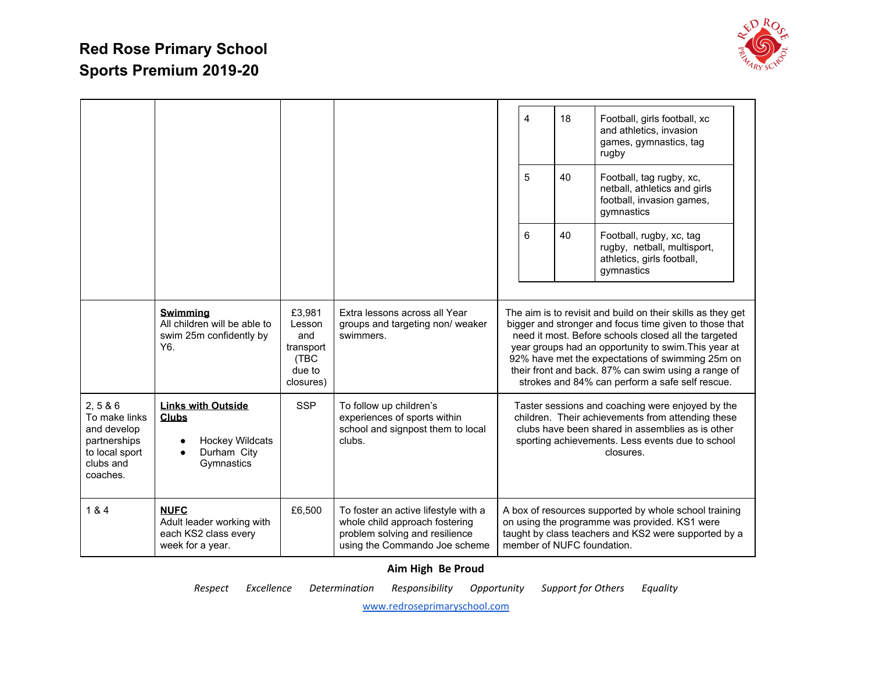

|                                                                                                   |                                                                                                                    |                                                                     |                                                                                                                                           | 4 | 18                         | Football, girls football, xc<br>and athletics, invasion<br>games, gymnastics, tag<br>rugby                                                                                                                                                                                                                                                                                                          |
|---------------------------------------------------------------------------------------------------|--------------------------------------------------------------------------------------------------------------------|---------------------------------------------------------------------|-------------------------------------------------------------------------------------------------------------------------------------------|---|----------------------------|-----------------------------------------------------------------------------------------------------------------------------------------------------------------------------------------------------------------------------------------------------------------------------------------------------------------------------------------------------------------------------------------------------|
|                                                                                                   |                                                                                                                    |                                                                     |                                                                                                                                           | 5 | 40                         | Football, tag rugby, xc,<br>netball, athletics and girls<br>football, invasion games,<br>gymnastics                                                                                                                                                                                                                                                                                                 |
|                                                                                                   |                                                                                                                    |                                                                     |                                                                                                                                           | 6 | 40                         | Football, rugby, xc, tag<br>rugby, netball, multisport,<br>athletics, girls football,<br>gymnastics                                                                                                                                                                                                                                                                                                 |
|                                                                                                   | <b>Swimming</b><br>All children will be able to<br>swim 25m confidently by<br>Y <sub>6</sub> .                     | £3,981<br>Lesson<br>and<br>transport<br>(TBC<br>due to<br>closures) | Extra lessons across all Year<br>groups and targeting non/ weaker<br>swimmers.                                                            |   |                            | The aim is to revisit and build on their skills as they get<br>bigger and stronger and focus time given to those that<br>need it most. Before schools closed all the targeted<br>year groups had an opportunity to swim. This year at<br>92% have met the expectations of swimming 25m on<br>their front and back. 87% can swim using a range of<br>strokes and 84% can perform a safe self rescue. |
| 2, 586<br>To make links<br>and develop<br>partnerships<br>to local sport<br>clubs and<br>coaches. | <b>Links with Outside</b><br><b>Clubs</b><br><b>Hockey Wildcats</b><br>٠<br>Durham City<br>$\bullet$<br>Gymnastics | <b>SSP</b>                                                          | To follow up children's<br>experiences of sports within<br>school and signpost them to local<br>clubs.                                    |   |                            | Taster sessions and coaching were enjoyed by the<br>children. Their achievements from attending these<br>clubs have been shared in assemblies as is other<br>sporting achievements. Less events due to school<br>closures.                                                                                                                                                                          |
| 1 & 4                                                                                             | <b>NUFC</b><br>Adult leader working with<br>each KS2 class every<br>week for a year.                               | £6,500                                                              | To foster an active lifestyle with a<br>whole child approach fostering<br>problem solving and resilience<br>using the Commando Joe scheme |   | member of NUFC foundation. | A box of resources supported by whole school training<br>on using the programme was provided. KS1 were<br>taught by class teachers and KS2 were supported by a                                                                                                                                                                                                                                      |

#### **Aim High Be Proud**

*Respect Excellence Determination Responsibility Opportunity Support for Others Equality*